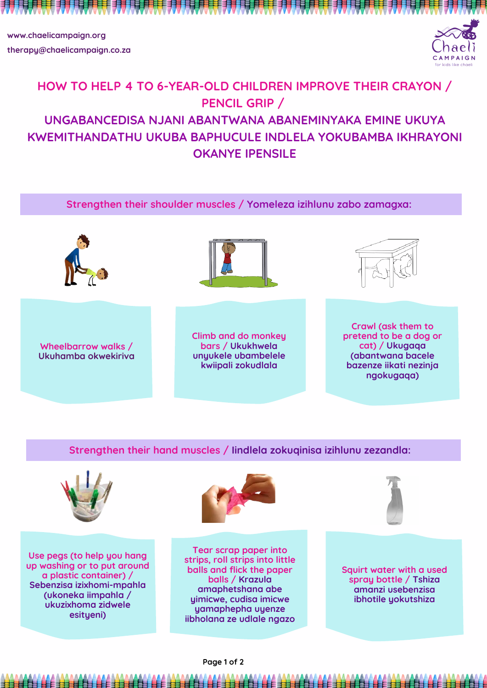## **HOW TO HELP 4 TO 6-YEAR-OLD CHILDREN IMPROVE THEIR CRAYON / PENCIL GRIP / UNGABANCEDISA NJANI ABANTWANA ABANEMINYAKA EMINE UKUYA KWEMITHANDATHU UKUBA BAPHUCULE INDLELA YOKUBAMBA IKHRAYONI OKANYE IPENSILE**





**www.chaelicampaign.org therapy@chaelicampaign.co.za**



**ngokugaqa)**

**Strengthen their shoulder muscles / Yomeleza izihlunu zabo zamagxa:**

## **Strengthen their hand muscles / Iindlela zokuqinisa izihlunu zezandla:**



**Use pegs (to help you hang up washing or to put around a plastic container) / Sebenzisa izixhomi-mpahla (ukoneka iimpahla / ukuzixhoma zidwele esityeni)**

**Tear scrap paper into**



**strips, roll strips into little balls and flick the paper balls / Krazula amaphetshana abe yimicwe, cudisa imicwe yamaphepha uyenze iibholana ze udlale ngazo**

**Squirt water with a used spray bottle / Tshiza amanzi usebenzisa ibhotile yokutshiza**

**Page 1 of 2**